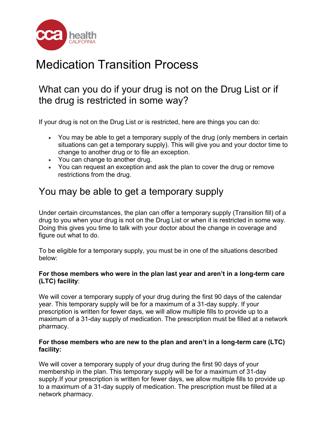

# Medication Transition Process

## What can you do if your drug is not on the Drug List or if the drug is restricted in some way?

If your drug is not on the Drug List or is restricted, here are things you can do:

- You may be able to get a temporary supply of the drug (only members in certain situations can get a temporary supply). This will give you and your doctor time to change to another drug or to file an exception.
- You can change to another drug.
- You can request an exception and ask the plan to cover the drug or remove restrictions from the drug.

### You may be able to get a temporary supply

Under certain circumstances, the plan can offer a temporary supply (Transition fill) of a drug to you when your drug is not on the Drug List or when it is restricted in some way. Doing this gives you time to talk with your doctor about the change in coverage and figure out what to do.

To be eligible for a temporary supply, you must be in one of the situations described below:

#### **For those members who were in the plan last year and aren't in a long-term care (LTC) facility**:

We will cover a temporary supply of your drug during the first 90 days of the calendar year. This temporary supply will be for a maximum of a 31-day supply. If your prescription is written for fewer days, we will allow multiple fills to provide up to a maximum of a 31-day supply of medication. The prescription must be filled at a network pharmacy.

#### **For those members who are new to the plan and aren't in a long-term care (LTC) facility:**

We will cover a temporary supply of your drug during the first 90 days of your membership in the plan. This temporary supply will be for a maximum of 31-day supply.If your prescription is written for fewer days, we allow multiple fills to provide up to a maximum of a 31-day supply of medication. The prescription must be filled at a network pharmacy.